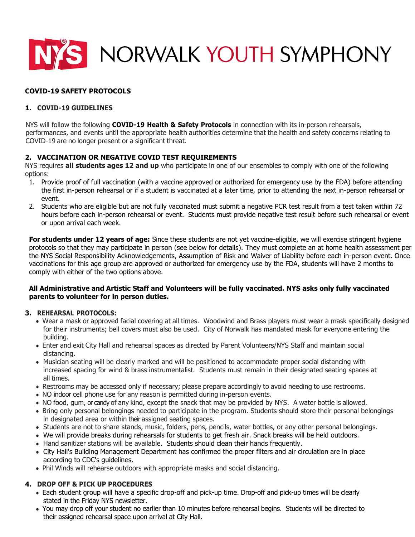

# **COVID-19 SAFETY PROTOCOLS**

## **1. COVID-19 GUIDELINES**

NYS will follow the following **COVID-19 Health & Safety Protocols** in connection with its in-person rehearsals, performances, and events until the appropriate health authorities determine that the health and safety concerns relating to COVID-19 are no longer present or a significant threat.

### **2. VACCINATION OR NEGATIVE COVID TEST REQUIREMENTS**

NYS requires **all students ages 12 and up** who participate in one of our ensembles to comply with one of the following options:

- 1. Provide proof of full vaccination (with a vaccine approved or authorized for emergency use by the FDA) before attending the first in-person rehearsal or if a student is vaccinated at a later time, prior to attending the next in-person rehearsal or event.
- 2. Students who are eligible but are not fully vaccinated must submit a negative PCR test result from a test taken within 72 hours before each in-person rehearsal or event. Students must provide negative test result before such rehearsal or event or upon arrival each week.

**For students under 12 years of age:** Since these students are not yet vaccine-eligible, we will exercise stringent hygiene protocols so that they may participate in person (see below for details). They must complete an at home health assessment per the NYS Social Responsibility Acknowledgements, Assumption of Risk and Waiver of Liability before each in-person event. Once vaccinations for this age group are approved or authorized for emergency use by the FDA, students will have 2 months to comply with either of the two options above.

#### **All Administrative and Artistic Staff and Volunteers will be fully vaccinated. NYS asks only fully vaccinated parents to volunteer for in person duties.**

#### **3. REHEARSAL PROTOCOLS:**

- Wear a mask or approved facial covering at all times. Woodwind and Brass players must wear a mask specifically designed for their instruments; bell covers must also be used. City of Norwalk has mandated mask for everyone entering the building.
- Enter and exit City Hall and rehearsal spaces as directed by Parent Volunteers/NYS Staff and maintain social distancing.
- Musician seating will be clearly marked and will be positioned to accommodate proper social distancing with increased spacing for wind & brass instrumentalist. Students must remain in their designated seating spaces at all times.
- Restrooms may be accessed only if necessary; please prepare accordingly to avoid needing to use restrooms.
- NO indoor cell phone use for any reason is permitted during in-person events.
- NO food, gum, or candy of any kind, except the snack that may be provided by NYS. A water bottle is allowed.
- Bring only personal belongings needed to participate in the program. Students should store their personal belongings in designated area or within their assigned seating spaces.
- Students are not to share stands, music, folders, pens, pencils, water bottles, or any other personal belongings.
- We will provide breaks during rehearsals for students to get fresh air. Snack breaks will be held outdoors.
- Hand sanitizer stations will be available. Students should clean their hands frequently.
- City Hall's Building Management Department has confirmed the proper filters and air circulation are in place according to CDC's guidelines.
- Phil Winds will rehearse outdoors with appropriate masks and social distancing.

#### **4. DROP OFF & PICK UP PROCEDURES**

- Each student group will have a specific drop-off and pick-up time. Drop-off and pick-up times will be clearly stated in the Friday NYS newsletter.
- You may drop off your student no earlier than 10 minutes before rehearsal begins. Students will be directed to their assigned rehearsal space upon arrival at City Hall.